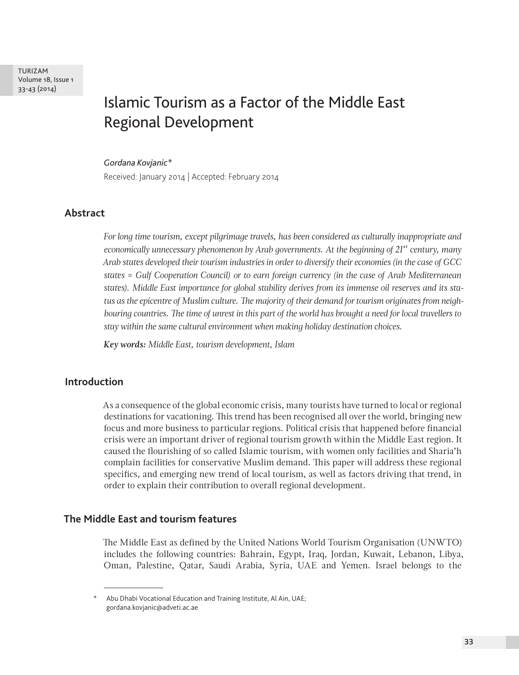TURIZAM Volume 18, Issue 1 33-43 (2014)

# Islamic Tourism as a Factor of the Middle East Regional Development

#### *Gordana Kovjanic\**

Received: January 2014 | Accepted: February 2014

## **Abstract**

*For long time tourism, except pilgrimage travels, has been considered as culturally inappropriate and economically unnecessary phenomenon by Arab governments. At the beginning of 21st century, many Arab states developed their tourism industries in order to diversify their economies (in the case of GCC states = Gulf Cooperation Council) or to earn foreign currency (in the case of Arab Mediterranean states). Middle East importance for global stability derives from its immense oil reserves and its status as the epicentre of Muslim culture. The majority of their demand for tourism originates from neighbouring countries. The time of unrest in this part of the world has brought a need for local travellers to stay within the same cultural environment when making holiday destination choices.*

*Key words: Middle East, tourism development, Islam*

# **Introduction**

As a consequence of the global economic crisis, many tourists have turned to local or regional destinations for vacationing. This trend has been recognised all over the world, bringing new focus and more business to particular regions. Political crisis that happened before financial crisis were an important driver of regional tourism growth within the Middle East region. It caused the flourishing of so called Islamic tourism, with women only facilities and Sharia'h complain facilities for conservative Muslim demand. This paper will address these regional specifics, and emerging new trend of local tourism, as well as factors driving that trend, in order to explain their contribution to overall regional development.

## **The Middle East and tourism features**

The Middle East as defined by the United Nations World Tourism Organisation (UNWTO) includes the following countries: Bahrain, Egypt, Iraq, Jordan, Kuwait, Lebanon, Libya, Oman, Palestine, Qatar, Saudi Arabia, Syria, UAE and Yemen. Israel belongs to the

<sup>\*</sup> Abu Dhabi Vocational Education and Training Institute, Al Ain, UAE; gordana.kovjanic@adveti.ac.ae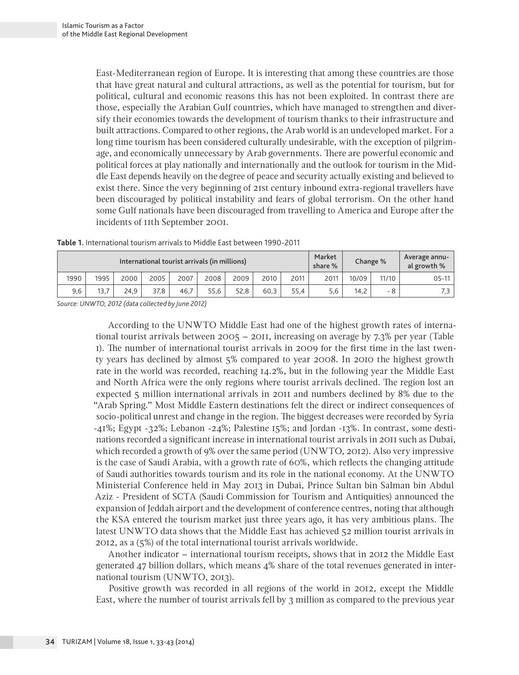East-Mediterranean region of Europe. It is interesting that among these countries are those that have great natural and cultural attractions, as well as the potential for tourism, but for political, cultural and economic reasons this has not been exploited. In contrast there are those, especially the Arabian Gulf countries, which have managed to strengthen and diversify their economies towards the development of tourism thanks to their infrastructure and built attractions. Compared to other regions, the Arab world is an undeveloped market. For a long time tourism has been considered culturally undesirable, with the exception of pilgrimage, and economically unnecessary by Arab governments. There are powerful economic and political forces at play nationally and internationally and the outlook for tourism in the Middle East depends heavily on the degree of peace and security actually existing and believed to exist there. Since the very beginning of 21st century inbound extra-regional travellers have been discouraged by political instability and fears of global terrorism. On the other hand some Gulf nationals have been discouraged from travelling to America and Europe after the incidents of 11th September 2001.

| Table 1. International tourism arrivals to Middle East between 1990-2011 |  |  |  |  |
|--------------------------------------------------------------------------|--|--|--|--|
|--------------------------------------------------------------------------|--|--|--|--|

| International tourist arrivals (in millions) |      |      |      |      |      |      | Market<br>share % |      | Change % | Average annu-<br>al growth % |       |         |
|----------------------------------------------|------|------|------|------|------|------|-------------------|------|----------|------------------------------|-------|---------|
| 1990                                         | 1995 | 2000 | 2005 | 2007 | 2008 | 2009 | 2010              | 2011 | 2011     | 10/09                        | 11/10 | $05-11$ |
| 9,6                                          | 13.7 | 24.9 | 37.8 | 46.7 | 55.6 | 52.8 | 60.3              | 55.4 | 5,6      | 14.2                         | - 8   | ر .     |

*Source: UNWTO, 2012 (data collected by June 2012)*

According to the UNWTO Middle East had one of the highest growth rates of international tourist arrivals between 2005 – 2011, increasing on average by 7.3% per year (Table 1). The number of international tourist arrivals in 2009 for the first time in the last twenty years has declined by almost 5% compared to year 2008. In 2010 the highest growth rate in the world was recorded, reaching 14.2%, but in the following year the Middle East and North Africa were the only regions where tourist arrivals declined. The region lost an expected 5 million international arrivals in 2011 and numbers declined by 8% due to the "Arab Spring." Most Middle Eastern destinations felt the direct or indirect consequences of socio-political unrest and change in the region. The biggest decreases were recorded by Syria  $-41\%$ ; Egypt  $-32\%$ ; Lebanon  $-24\%$ ; Palestine 15%; and Jordan  $-13\%$ . In contrast, some destinations recorded a significant increase in international tourist arrivals in 2011 such as Dubai, which recorded a growth of 9% over the same period (UNWTO, 2012). Also very impressive is the case of Saudi Arabia, with a growth rate of 60%, which reflects the changing attitude of Saudi authorities towards tourism and its role in the national economy. At the UNWTO Ministerial Conference held in May 2013 in Dubai, Prince Sultan bin Salman bin Abdul Aziz - President of SCTA (Saudi Commission for Tourism and Antiquities) announced the expansion of Jeddah airport and the development of conference centres, noting that although the KSA entered the tourism market just three years ago, it has very ambitious plans. The latest UNWTO data shows that the Middle East has achieved 52 million tourist arrivals in 2012, as a (5%) of the total international tourist arrivals worldwide.

Another indicator – international tourism receipts, shows that in 2012 the Middle East generated 47 billion dollars, which means 4% share of the total revenues generated in international tourism (UNWTO, 2013).

Positive growth was recorded in all regions of the world in 2012, except the Middle East, where the number of tourist arrivals fell by 3 million as compared to the previous year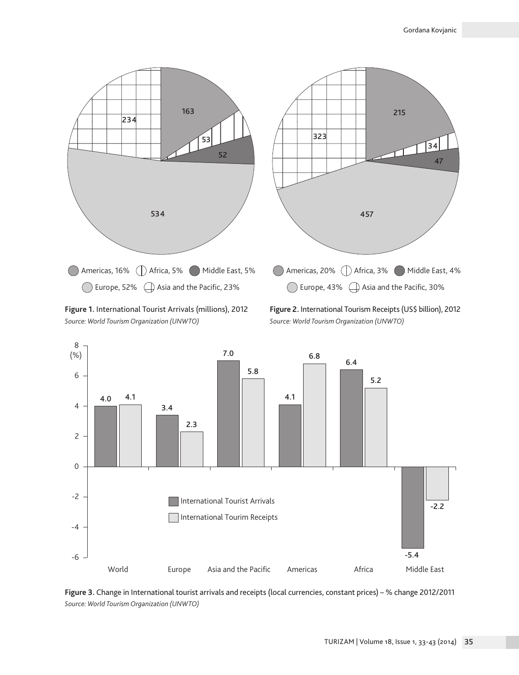

**Figure 1.** International Tourist Arrivals (millions), 2012 *Source: World Tourism Organization (UNWTO)*

**Figure 2.** International Tourism Receipts (US\$ billion), 2012 *Source: World Tourism Organization (UNWTO)*



**Figure 3.** Change in International tourist arrivals and receipts (local currencies, constant prices) – % change 2012/2011 *Source: World Tourism Organization (UNWTO)*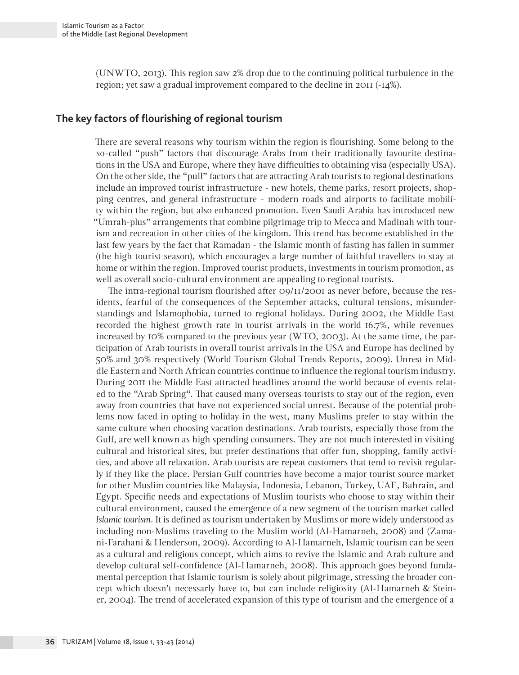(UNWTO, 2013). This region saw 2% drop due to the continuing political turbulence in the region; yet saw a gradual improvement compared to the decline in 2011 (-14%).

# **The key factors of flourishing of regional tourism**

There are several reasons why tourism within the region is flourishing. Some belong to the so-called "push" factors that discourage Arabs from their traditionally favourite destinations in the USA and Europe, where they have difficulties to obtaining visa (especially USA). On the other side, the "pull" factors that are attracting Arab tourists to regional destinations include an improved tourist infrastructure - new hotels, theme parks, resort projects, shopping centres, and general infrastructure - modern roads and airports to facilitate mobility within the region, but also enhanced promotion. Even Saudi Arabia has introduced new "Umrah-plus" arrangements that combine pilgrimage trip to Mecca and Madinah with tourism and recreation in other cities of the kingdom. This trend has become established in the last few years by the fact that Ramadan - the Islamic month of fasting has fallen in summer (the high tourist season), which encourages a large number of faithful travellers to stay at home or within the region. Improved tourist products, investments in tourism promotion, as well as overall socio-cultural environment are appealing to regional tourists.

The intra-regional tourism flourished after 09/11/2001 as never before, because the residents, fearful of the consequences of the September attacks, cultural tensions, misunderstandings and Islamophobia, turned to regional holidays. During 2002, the Middle East recorded the highest growth rate in tourist arrivals in the world 16.7%, while revenues increased by 10% compared to the previous year (WTO, 2003). At the same time, the participation of Arab tourists in overall tourist arrivals in the USA and Europe has declined by 50% and 30% respectively (World Tourism Global Trends Reports, 2009). Unrest in Middle Eastern and North African countries continue to influence the regional tourism industry. During 2011 the Middle East attracted headlines around the world because of events related to the "Arab Spring". That caused many overseas tourists to stay out of the region, even away from countries that have not experienced social unrest. Because of the potential problems now faced in opting to holiday in the west, many Muslims prefer to stay within the same culture when choosing vacation destinations. Arab tourists, especially those from the Gulf, are well known as high spending consumers. They are not much interested in visiting cultural and historical sites, but prefer destinations that offer fun, shopping, family activities, and above all relaxation. Arab tourists are repeat customers that tend to revisit regularly if they like the place. Persian Gulf countries have become a major tourist source market for other Muslim countries like Malaysia, Indonesia, Lebanon, Turkey, UAE, Bahrain, and Egypt. Specific needs and expectations of Muslim tourists who choose to stay within their cultural environment, caused the emergence of a new segment of the tourism market called *Islamic tourism*. It is defined as tourism undertaken by Muslims or more widely understood as including non-Muslims traveling to the Muslim world (Al-Hamarneh, 2008) and (Zamani-Farahani & Henderson, 2009). According to Al-Hamarneh, Islamic tourism can be seen as a cultural and religious concept, which aims to revive the Islamic and Arab culture and develop cultural self-confidence (Al-Hamarneh, 2008). This approach goes beyond fundamental perception that Islamic tourism is solely about pilgrimage, stressing the broader concept which doesn't necessarly have to, but can include religiosity (Al-Hamarneh & Steiner, 2004). The trend of accelerated expansion of this type of tourism and the emergence of a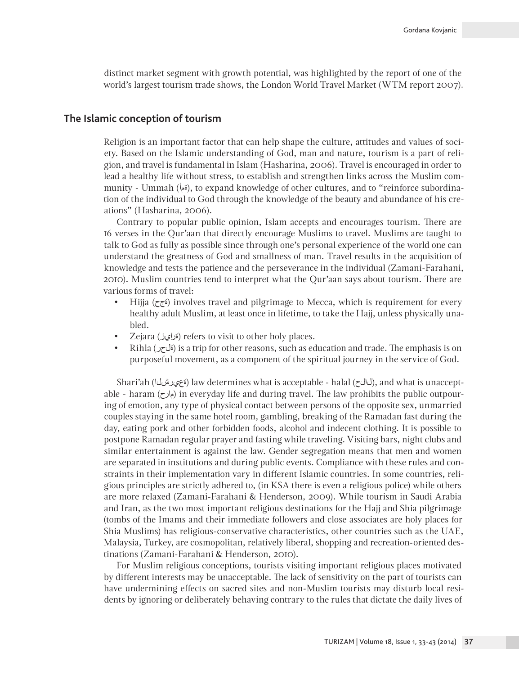distinct market segment with growth potential, was highlighted by the report of one of the world's largest tourism trade shows, the London World Travel Market (WTM report 2007).

#### **The Islamic conception of tourism**

Religion is an important factor that can help shape the culture, attitudes and values of society. Based on the Islamic understanding of God, man and nature, tourism is a part of religion, and travel is fundamental in Islam (Hasharina, 2006). Travel is encouraged in order to lead a healthy life without stress, to establish and strengthen links across the Muslim community - Ummah (أمة), to expand knowledge of other cultures, and to "reinforce subordination of the individual to God through the knowledge of the beauty and abundance of his creations" (Hasharina, 2006).

Contrary to popular public opinion, Islam accepts and encourages tourism. There are 16 verses in the Qur'aan that directly encourage Muslims to travel. Muslims are taught to talk to God as fully as possible since through one's personal experience of the world one can understand the greatness of God and smallness of man. Travel results in the acquisition of knowledge and tests the patience and the perseverance in the individual (Zamani-Farahani, 2010). Muslim countries tend to interpret what the Qur'aan says about tourism. There are various forms of travel:

- Hijja (*أ*نج (involves travel and pilgrimage to Mecca, which is requirement for every healthy adult Muslim, at least once in lifetime, to take the Hajj, unless physically unabled.
- Zejara (ةرايز (refers to visit to other holy places.
- Rihla (ةلحر (is a trip for other reasons, such as education and trade. The emphasis is on purposeful movement, as a component of the spiritual journey in the service of God.

Shari'ah (أناخىرش (law determines what is acceptable - halal (كالح), and what is unacceptable - haram (مارح (in everyday life and during travel. The law prohibits the public outpouring of emotion, any type of physical contact between persons of the opposite sex, unmarried couples staying in the same hotel room, gambling, breaking of the Ramadan fast during the day, eating pork and other forbidden foods, alcohol and indecent clothing. It is possible to postpone Ramadan regular prayer and fasting while traveling. Visiting bars, night clubs and similar entertainment is against the law. Gender segregation means that men and women are separated in institutions and during public events. Compliance with these rules and constraints in their implementation vary in different Islamic countries. In some countries, religious principles are strictly adhered to, (in KSA there is even a religious police) while others are more relaxed (Zamani-Farahani & Henderson, 2009). While tourism in Saudi Arabia and Iran, as the two most important religious destinations for the Hajj and Shia pilgrimage (tombs of the Imams and their immediate followers and close associates are holy places for Shia Muslims) has religious-conservative characteristics, other countries such as the UAE, Malaysia, Turkey, are cosmopolitan, relatively liberal, shopping and recreation-oriented destinations (Zamani-Farahani & Henderson, 2010).

For Muslim religious conceptions, tourists visiting important religious places motivated by different interests may be unacceptable. The lack of sensitivity on the part of tourists can have undermining effects on sacred sites and non-Muslim tourists may disturb local residents by ignoring or deliberately behaving contrary to the rules that dictate the daily lives of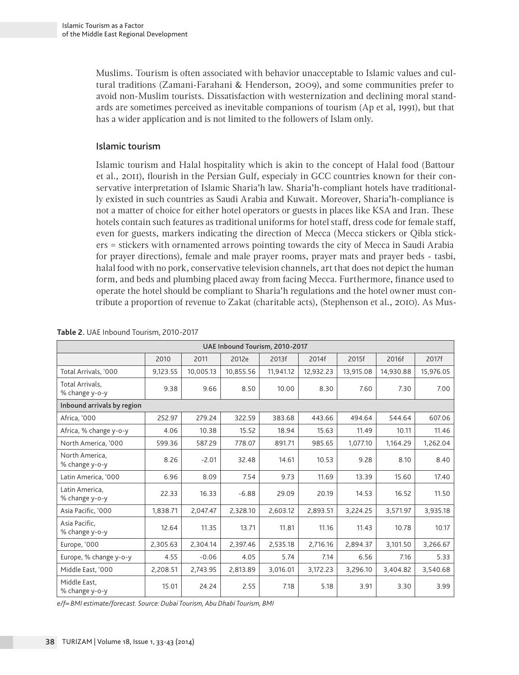Muslims. Tourism is often associated with behavior unacceptable to Islamic values and cultural traditions (Zamani-Farahani & Henderson, 2009), and some communities prefer to avoid non-Muslim tourists. Dissatisfaction with westernization and declining moral standards are sometimes perceived as inevitable companions of tourism (Ap et al, 1991), but that has a wider application and is not limited to the followers of Islam only.

### Islamic tourism

Islamic tourism and Halal hospitality which is akin to the concept of Halal food (Battour et al., 2011), flourish in the Persian Gulf, especialy in GCC countries known for their conservative interpretation of Islamic Sharia'h law. Sharia'h-compliant hotels have traditionally existed in such countries as Saudi Arabia and Kuwait. Moreover, Sharia'h-compliance is not a matter of choice for either hotel operators or guests in places like KSA and Iran. These hotels contain such features as traditional uniforms for hotel staff, dress code for female staff, even for guests, markers indicating the direction of Mecca (Mecca stickers or Qibla stickers = stickers with ornamented arrows pointing towards the city of Mecca in Saudi Arabia for prayer directions), female and male prayer rooms, prayer mats and prayer beds - tasbi, halal food with no pork, conservative television channels, art that does not depict the human form, and beds and plumbing placed away from facing Mecca. Furthermore, finance used to operate the hotel should be compliant to Sharia'h regulations and the hotel owner must contribute a proportion of revenue to Zakat (charitable acts), (Stephenson et al., 2010). As Mus-

| UAE Inbound Tourism, 2010-2017    |          |           |           |           |           |           |           |           |  |
|-----------------------------------|----------|-----------|-----------|-----------|-----------|-----------|-----------|-----------|--|
|                                   | 2010     | 2011      | 2012e     | 2013f     | 2014f     | 2015f     | 2016f     | 2017f     |  |
| Total Arrivals, '000              | 9,123.55 | 10,005.13 | 10,855.56 | 11,941.12 | 12,932.23 | 13,915.08 | 14,930.88 | 15,976.05 |  |
| Total Arrivals,<br>% change y-o-y | 9.38     | 9.66      | 8.50      | 10.00     | 8.30      | 7.60      | 7.30      | 7.00      |  |
| Inbound arrivals by region        |          |           |           |           |           |           |           |           |  |
| Africa, '000                      | 252.97   | 279.24    | 322.59    | 383.68    | 443.66    | 494.64    | 544.64    | 607.06    |  |
| Africa, % change y-o-y            | 4.06     | 10.38     | 15.52     | 18.94     | 15.63     | 11.49     | 10.11     | 11.46     |  |
| North America, '000               | 599.36   | 587.29    | 778.07    | 891.71    | 985.65    | 1,077.10  | 1,164.29  | 1,262.04  |  |
| North America,<br>% change y-o-y  | 8.26     | $-2.01$   | 32.48     | 14.61     | 10.53     | 9.28      | 8.10      | 8.40      |  |
| Latin America, '000               | 6.96     | 8.09      | 7.54      | 9.73      | 11.69     | 13.39     | 15.60     | 17.40     |  |
| Latin America,<br>% change y-o-y  | 22.33    | 16.33     | $-6.88$   | 29.09     | 20.19     | 14.53     | 16.52     | 11.50     |  |
| Asia Pacific, '000                | 1,838.71 | 2,047.47  | 2,328.10  | 2.603.12  | 2,893.51  | 3,224.25  | 3,571.97  | 3,935.18  |  |
| Asia Pacific.<br>% change y-o-y   | 12.64    | 11.35     | 13.71     | 11.81     | 11.16     | 11.43     | 10.78     | 10.17     |  |
| Europe, '000                      | 2,305.63 | 2,304.14  | 2,397.46  | 2,535.18  | 2,716.16  | 2,894.37  | 3,101.50  | 3,266.67  |  |
| Europe, % change y-o-y            | 4.55     | $-0.06$   | 4.05      | 5.74      | 7.14      | 6.56      | 7.16      | 5.33      |  |
| Middle East, '000                 | 2,208.51 | 2,743.95  | 2,813.89  | 3,016.01  | 3,172.23  | 3,296.10  | 3,404.82  | 3,540.68  |  |
| Middle East.<br>% change y-o-y    | 15.01    | 24.24     | 2.55      | 7.18      | 5.18      | 3.91      | 3.30      | 3.99      |  |

#### **Table 2.** UAE Inbound Tourism, 2010-2017

*e/f= BMI estimate/forecast. Source: Dubai Tourism, Abu Dhabi Tourism, BMI*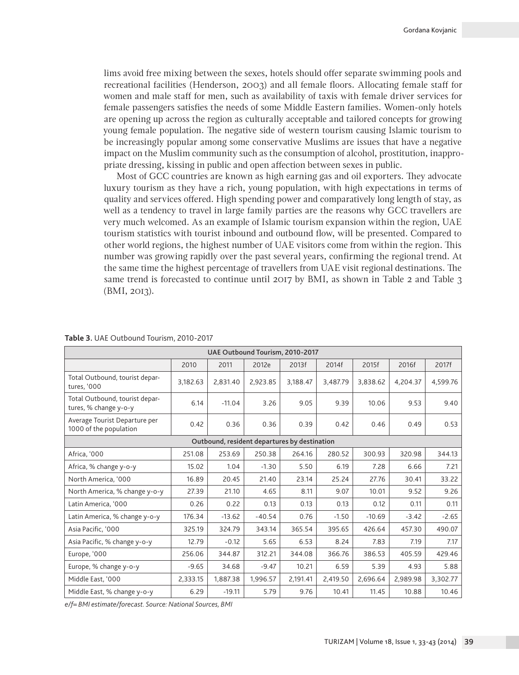lims avoid free mixing between the sexes, hotels should offer separate swimming pools and recreational facilities (Henderson, 2003) and all female floors. Allocating female staff for women and male staff for men, such as availability of taxis with female driver services for female passengers satisfies the needs of some Middle Eastern families. Women-only hotels are opening up across the region as culturally acceptable and tailored concepts for growing young female population. The negative side of western tourism causing Islamic tourism to be increasingly popular among some conservative Muslims are issues that have a negative impact on the Muslim community such as the consumption of alcohol, prostitution, inappropriate dressing, kissing in public and open affection between sexes in public.

Most of GCC countries are known as high earning gas and oil exporters. They advocate luxury tourism as they have a rich, young population, with high expectations in terms of quality and services offered. High spending power and comparatively long length of stay, as well as a tendency to travel in large family parties are the reasons why GCC travellers are very much welcomed. As an example of Islamic tourism expansion within the region, UAE tourism statistics with tourist inbound and outbound flow, will be presented. Compared to other world regions, the highest number of UAE visitors come from within the region. This number was growing rapidly over the past several years, confirming the regional trend. At the same time the highest percentage of travellers from UAE visit regional destinations. The same trend is forecasted to continue until 2017 by BMI, as shown in Table 2 and Table 3 (BMI, 2013).

| UAE Outbound Tourism, 2010-2017                         |          |          |          |          |          |          |          |          |  |  |
|---------------------------------------------------------|----------|----------|----------|----------|----------|----------|----------|----------|--|--|
|                                                         | 2010     | 2011     | 2012e    | 2013f    | 2014f    | 2015f    | 2016f    | 2017f    |  |  |
| Total Outbound, tourist depar-<br>tures, '000           | 3,182.63 | 2,831.40 | 2,923.85 | 3,188.47 | 3,487.79 | 3,838.62 | 4,204.37 | 4,599.76 |  |  |
| Total Outbound, tourist depar-<br>tures, % change y-o-y | 6.14     | $-11.04$ | 3.26     | 9.05     | 9.39     | 10.06    | 9.53     | 9.40     |  |  |
| Average Tourist Departure per<br>1000 of the population | 0.42     | 0.36     | 0.36     | 0.39     | 0.42     | 0.46     | 0.49     | 0.53     |  |  |
| Outbound, resident departures by destination            |          |          |          |          |          |          |          |          |  |  |
| Africa. '000                                            | 251.08   | 253.69   | 250.38   | 264.16   | 280.52   | 300.93   | 320.98   | 344.13   |  |  |
| Africa, % change y-o-y                                  | 15.02    | 1.04     | $-1.30$  | 5.50     | 6.19     | 7.28     | 6.66     | 7.21     |  |  |
| North America, '000                                     | 16.89    | 20.45    | 21.40    | 23.14    | 25.24    | 27.76    | 30.41    | 33.22    |  |  |
| North America, % change y-o-y                           | 27.39    | 21.10    | 4.65     | 8.11     | 9.07     | 10.01    | 9.52     | 9.26     |  |  |
| Latin America, '000                                     | 0.26     | 0.22     | 0.13     | 0.13     | 0.13     | 0.12     | 0.11     | 0.11     |  |  |
| Latin America, % change y-o-y                           | 176.34   | $-13.62$ | $-40.54$ | 0.76     | $-1.50$  | $-10.69$ | $-3.42$  | $-2.65$  |  |  |
| Asia Pacific, '000                                      | 325.19   | 324.79   | 343.14   | 365.54   | 395.65   | 426.64   | 457.30   | 490.07   |  |  |
| Asia Pacific, % change y-o-y                            | 12.79    | $-0.12$  | 5.65     | 6.53     | 8.24     | 7.83     | 7.19     | 7.17     |  |  |
| Europe, '000                                            | 256.06   | 344.87   | 312.21   | 344.08   | 366.76   | 386.53   | 405.59   | 429.46   |  |  |
| Europe, % change y-o-y                                  | $-9.65$  | 34.68    | $-9.47$  | 10.21    | 6.59     | 5.39     | 4.93     | 5.88     |  |  |
| Middle East, '000                                       | 2,333.15 | 1,887.38 | 1,996.57 | 2,191.41 | 2,419.50 | 2,696.64 | 2,989.98 | 3,302.77 |  |  |
| Middle East, % change y-o-y                             | 6.29     | $-19.11$ | 5.79     | 9.76     | 10.41    | 11.45    | 10.88    | 10.46    |  |  |

**Table 3.** UAE Outbound Tourism, 2010-2017

*e/f= BMI estimate/forecast. Source: National Sources, BMI*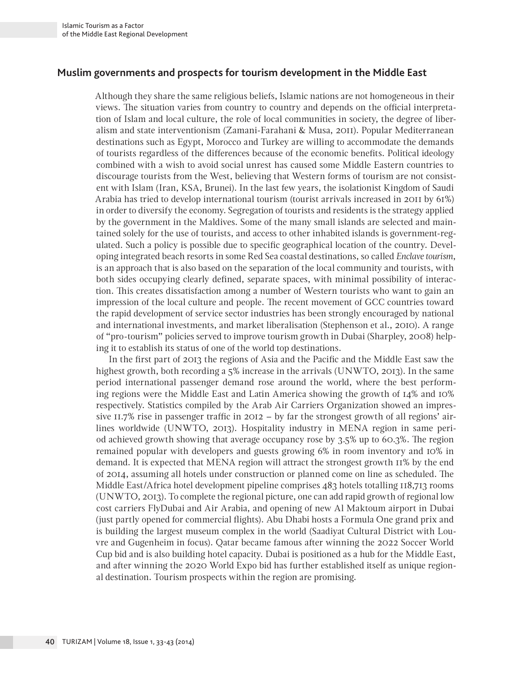# **Muslim governments and prospects for tourism development in the Middle East**

Although they share the same religious beliefs, Islamic nations are not homogeneous in their views. The situation varies from country to country and depends on the official interpretation of Islam and local culture, the role of local communities in society, the degree of liberalism and state interventionism (Zamani-Farahani & Musa, 2011). Popular Mediterranean destinations such as Egypt, Morocco and Turkey are willing to accommodate the demands of tourists regardless of the differences because of the economic benefits. Political ideology combined with a wish to avoid social unrest has caused some Middle Eastern countries to discourage tourists from the West, believing that Western forms of tourism are not consistent with Islam (Iran, KSA, Brunei). In the last few years, the isolationist Kingdom of Saudi Arabia has tried to develop international tourism (tourist arrivals increased in 2011 by 61%) in order to diversify the economy. Segregation of tourists and residents is the strategy applied by the government in the Maldives. Some of the many small islands are selected and maintained solely for the use of tourists, and access to other inhabited islands is government-regulated. Such a policy is possible due to specific geographical location of the country. Developing integrated beach resorts in some Red Sea coastal destinations, so called *Enclave tourism*, is an approach that is also based on the separation of the local community and tourists, with both sides occupying clearly defined, separate spaces, with minimal possibility of interaction. This creates dissatisfaction among a number of Western tourists who want to gain an impression of the local culture and people. The recent movement of GCC countries toward the rapid development of service sector industries has been strongly encouraged by national and international investments, and market liberalisation (Stephenson et al., 2010). A range of "pro-tourism" policies served to improve tourism growth in Dubai (Sharpley, 2008) helping it to establish its status of one of the world top destinations.

In the first part of 2013 the regions of Asia and the Pacific and the Middle East saw the highest growth, both recording a 5% increase in the arrivals (UNWTO, 2013). In the same period international passenger demand rose around the world, where the best performing regions were the Middle East and Latin America showing the growth of 14% and 10% respectively. Statistics compiled by the Arab Air Carriers Organization showed an impressive 11.7% rise in passenger traffic in 2012 – by far the strongest growth of all regions' airlines worldwide (UNWTO, 2013). Hospitality industry in MENA region in same period achieved growth showing that average occupancy rose by 3.5% up to 60.3%. The region remained popular with developers and guests growing 6% in room inventory and 10% in demand. It is expected that MENA region will attract the strongest growth 11% by the end of 2014, assuming all hotels under construction or planned come on line as scheduled. The Middle East/Africa hotel development pipeline comprises 483 hotels totalling 118,713 rooms (UNWTO, 2013). To complete the regional picture, one can add rapid growth of regional low cost carriers FlyDubai and Air Arabia, and opening of new Al Maktoum airport in Dubai (just partly opened for commercial flights). Abu Dhabi hosts a Formula One grand prix and is building the largest museum complex in the world (Saadiyat Cultural District with Louvre and Gugenheim in focus). Qatar became famous after winning the 2022 Soccer World Cup bid and is also building hotel capacity. Dubai is positioned as a hub for the Middle East, and after winning the 2020 World Expo bid has further established itself as unique regional destination. Tourism prospects within the region are promising.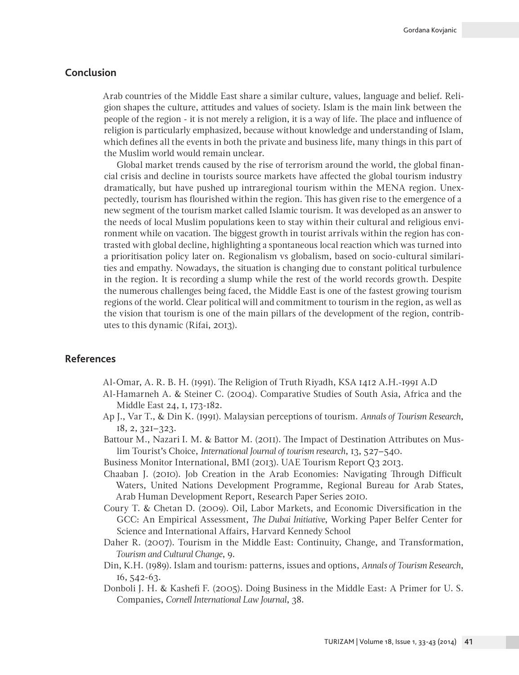# **Conclusion**

Arab countries of the Middle East share a similar culture, values, language and belief. Religion shapes the culture, attitudes and values of society. Islam is the main link between the people of the region - it is not merely a religion, it is a way of life. The place and influence of religion is particularly emphasized, because without knowledge and understanding of Islam, which defines all the events in both the private and business life, many things in this part of the Muslim world would remain unclear.

Global market trends caused by the rise of terrorism around the world, the global financial crisis and decline in tourists source markets have affected the global tourism industry dramatically, but have pushed up intraregional tourism within the MENA region. Unexpectedly, tourism has flourished within the region. This has given rise to the emergence of a new segment of the tourism market called Islamic tourism. It was developed as an answer to the needs of local Muslim populations keen to stay within their cultural and religious environment while on vacation. The biggest growth in tourist arrivals within the region has contrasted with global decline, highlighting a spontaneous local reaction which was turned into a prioritisation policy later on. Regionalism vs globalism, based on socio-cultural similarities and empathy. Nowadays, the situation is changing due to constant political turbulence in the region. It is recording a slump while the rest of the world records growth. Despite the numerous challenges being faced, the Middle East is one of the fastest growing tourism regions of the world. Clear political will and commitment to tourism in the region, as well as the vision that tourism is one of the main pillars of the development of the region, contributes to this dynamic (Rifai, 2013).

## **References**

Al-Omar, A. R. B. H. (1991). The Religion of Truth Riyadh, KSA 1412 A.H.-1991 A.D

- Al-Hamarneh A. & Steiner C. (2004). Comparative Studies of South Asia, Africa and the Middle East 24, 1, 173-182.
- Ap J., Var T., & Din K. (1991). Malaysian perceptions of tourism. *Annals of Tourism Research*, 18, 2, 321–323.
- Battour M., Nazari I. M. & Battor M. (2011). The Impact of Destination Attributes on Muslim Tourist's Choice, *International Journal of tourism research*, 13, 527–540.
- Business Monitor International, BMI (2013). UAE Tourism Report Q3 2013.
- Chaaban J. (2010). Job Creation in the Arab Economies: Navigating Through Difficult Waters, United Nations Development Programme, Regional Bureau for Arab States, Arab Human Development Report, Research Paper Series 2010.
- Coury T. & Chetan D. (2009). Oil, Labor Markets, and Economic Diversification in the GCC: An Empirical Assessment, *The Dubai Initiative*, Working Paper Belfer Center for Science and International Affairs, Harvard Kennedy School
- Daher R. (2007). Tourism in the Middle East: Continuity, Change, and Transformation, *Tourism and Cultural Change*, 9.
- Din, K.H. (1989). Islam and tourism: patterns, issues and options, *Annals of Tourism Research*, 16, 542-63.
- Donboli J. H. & Kashefi F. (2005). Doing Business in the Middle East: A Primer for U. S. Companies, *Cornell International Law Journal*, 38.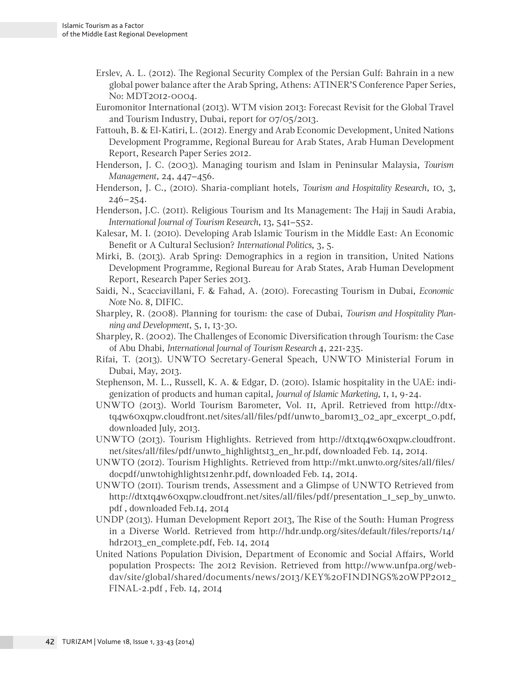- Erslev, A. L. (2012). The Regional Security Complex of the Persian Gulf: Bahrain in a new global power balance after the Arab Spring, Athens: ATINER'S Conference Paper Series, No: MDT2012-0004.
- Euromonitor International (2013). WTM vision 2013: Forecast Revisit for the Global Travel and Tourism Industry, Dubai, report for 07/05/2013.
- Fattouh, B. & El-Katiri, L. (2012). Energy and Arab Economic Development, United Nations Development Programme, Regional Bureau for Arab States, Arab Human Development Report, Research Paper Series 2012.
- Henderson, J. C. (2003). Managing tourism and Islam in Peninsular Malaysia, *Tourism Management*, 24, 447–456.
- Henderson, J. C., (2010). Sharia-compliant hotels, *Tourism and Hospitality Research*, 10, 3, 246–254.
- Henderson, J.C. (2011). Religious Tourism and Its Management: The Hajj in Saudi Arabia, *International Journal of Tourism Research*, 13, 541–552.
- Kalesar, M. I. (2010). Developing Arab Islamic Tourism in the Middle East: An Economic Benefit or A Cultural Seclusion? *International Politics*, 3, 5.
- Mirki, B. (2013). Arab Spring: Demographics in a region in transition, United Nations Development Programme, Regional Bureau for Arab States, Arab Human Development Report, Research Paper Series 2013.
- Saidi, N., Scacciavillani, F. & Fahad, A. (2010). Forecasting Tourism in Dubai, *Economic Note* No. 8, DIFIC.
- Sharpley, R. (2008). Planning for tourism: the case of Dubai, *Tourism and Hospitality Planning and Development*, 5, 1, 13-30.
- Sharpley, R. (2002). The Challenges of Economic Diversification through Tourism: the Case of Abu Dhabi, *International Journal of Tourism Research* 4, 221-235.
- Rifai, T. (2013). UNWTO Secretary-General Speach, UNWTO Ministerial Forum in Dubai, May, 2013.
- Stephenson, M. L., Russell, K. A. & Edgar, D. (2010). Islamic hospitality in the UAE: indigenization of products and human capital, *Journal of Islamic Marketing*, 1, 1, 9-24.
- UNWTO (2013). World Tourism Barometer, Vol. 11, April. Retrieved from http://dtxtq4w60xqpw.cloudfront.net/sites/all/files/pdf/unwto\_barom13\_02\_apr\_excerpt\_0.pdf, downloaded July, 2013.
- UNWTO (2013). Tourism Highlights. Retrieved from http://dtxtq4w60xqpw.cloudfront. net/sites/all/files/pdf/unwto\_highlights13\_en\_hr.pdf, downloaded Feb. 14, 2014.
- UNWTO (2012). Tourism Highlights. Retrieved from http://mkt.unwto.org/sites/all/files/ docpdf/unwtohighlights12enhr.pdf, downloaded Feb. 14, 2014.
- UNWTO (2011). Tourism trends, Assessment and a Glimpse of UNWTO Retrieved from http://dtxtq4w60xqpw.cloudfront.net/sites/all/files/pdf/presentation\_1\_sep\_by\_unwto. pdf , downloaded Feb.14, 2014
- UNDP (2013). Human Development Report 2013, The Rise of the South: Human Progress in a Diverse World. Retrieved from http://hdr.undp.org/sites/default/files/reports/14/ hdr2013\_en\_complete.pdf, Feb. 14, 2014
- United Nations Population Division, Department of Economic and Social Affairs, World population Prospects: The 2012 Revision. Retrieved from http://www.unfpa.org/webdav/site/global/shared/documents/news/2013/KEY%20FINDINGS%20WPP2012\_ FINAL-2.pdf , Feb. 14, 2014